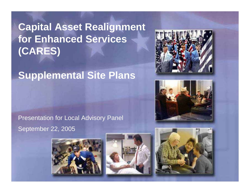# **Capital Asset Realignment for Enhanced Services (CARES)**

# **Supplemental Site Plans**

### Presentation for Local Advisory Panel September 22, 2005









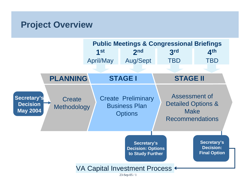## **Project Overview**

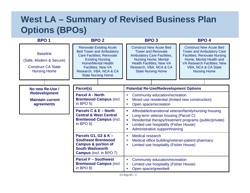# **West LA – Summary of Revised Business Plan Options (BPOs)**

| <b>BPO1</b>                                                                                    | <b>BPO 2</b>                                                                                                                                                                                                                                       | <b>BPO3</b>                                                                                                                                                                                                                                                     | <b>BPO4</b>                                                                                                                                                                                                              |
|------------------------------------------------------------------------------------------------|----------------------------------------------------------------------------------------------------------------------------------------------------------------------------------------------------------------------------------------------------|-----------------------------------------------------------------------------------------------------------------------------------------------------------------------------------------------------------------------------------------------------------------|--------------------------------------------------------------------------------------------------------------------------------------------------------------------------------------------------------------------------|
| <b>Baseline</b><br>(Safe, Modern & Secure)<br><b>Construct CA State</b><br><b>Nursing Home</b> | <b>Renovate Existing Acute</b><br><b>Bed Tower and Ambulatory</b><br><b>Care Facilities; Renovate</b><br><b>Existing Nursing</b><br><b>Home/Mental Health</b><br><b>Facilities; New VA</b><br>Research, VBA, NCA & CA<br><b>State Nursing Home</b> | <b>Construct New Acute Bed</b><br><b>Tower and Renovate</b><br><b>Ambulatory Care Facilities,</b><br><b>Nursing Home, Mental</b><br><b>Health Facilities; New VA</b><br>Research, VBA, NCA & CA<br><b>State Nursing Home</b>                                    | <b>Construct New Acute Bed</b><br><b>Tower and Ambulatory Care</b><br><b>Facilities; Renovate Nursing</b><br>Home, Mental Health and<br><b>VA Research Facilities; New</b><br>VBA, NCA & CA State<br><b>Nursing Home</b> |
| No new Re-Use /                                                                                | Parcel(s)                                                                                                                                                                                                                                          | <b>Potential Re-Use/Redevelopment Options</b>                                                                                                                                                                                                                   |                                                                                                                                                                                                                          |
| <b>Redevelopment</b><br><b>Maintain current</b><br>agreements                                  | <b>Parcel A - North</b><br><b>Brentwood Campus (incl.</b><br>in BPO $5$ )                                                                                                                                                                          | Community education/recreation<br>×.<br>Mixed use residential (limited new construction)<br>×.<br>Open space/recreation<br>п                                                                                                                                    |                                                                                                                                                                                                                          |
|                                                                                                | Parcels C & E - North<br><b>Central &amp; West Central</b><br><b>Brentwood Campus (incl.</b><br>in BPO $6$ )                                                                                                                                       | Affordable/transitional veteran/family/nursing housing<br>Е<br>Long-term veteran housing (Parcel C)<br>п<br>Residential therapy/treatment programs (public/private)<br>п<br>Limited use hospitality (Fisher House)<br>п<br>Administrative support/training<br>п |                                                                                                                                                                                                                          |
|                                                                                                | Parcels G1, G2 & K -<br><b>Southeast Brentwood</b><br><b>Campus &amp; portion of</b><br><b>South Wadsworth</b><br><b>Campus</b> (incl. in BPO 7)                                                                                                   | <b>Medical research</b><br>×,<br>Medical office building/veteran-patient pharmacy<br>×.<br>Limited use hospitality (Fisher House)<br>×.                                                                                                                         |                                                                                                                                                                                                                          |
|                                                                                                | <b>Parcel F - Southwest</b><br><b>Brentwood Campus (incl.</b><br>in BPO $8$ )                                                                                                                                                                      | Community education/recreation<br>×,<br>Limited use hospitality (Fisher House)<br>×.<br>Open space/greenbelt<br>×,                                                                                                                                              |                                                                                                                                                                                                                          |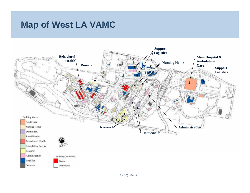# **Map of West LA VAMC**

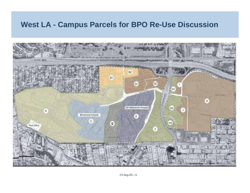#### **West LA - Campus Parcels for BPO Re-Use Discussion**

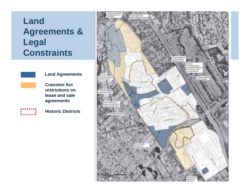# **Land Agreements & Legal Constraints**



#### **Land Agreements**

**Cranston Act restrictions on lease and sale agreements**



**Historic Districts**

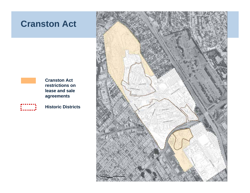### **Cranston Act**



**Cranston Act restrictions on lease and sale agreements**



**Historic Districts**

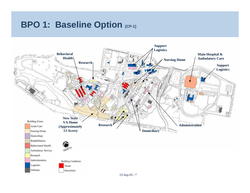# **BPO 1: Baseline Option [CP-1]**

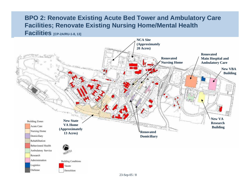#### **BPO 2: Renovate Existing Acute Bed Tower and Ambulatory Care Facilities; Renovate Existing Nursing Home/Mental Health Facilities [CP-2A/RU-1-8, 13]**

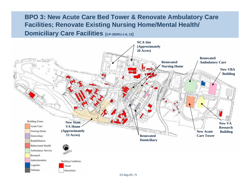#### **BPO 3: New Acute Care Bed Tower & Renovate Ambulatory Care Facilities; Renovate Existing Nursing Home/Mental Health/ Domiciliary Care Facilities [CP-2B/RU-1-8, 13]**

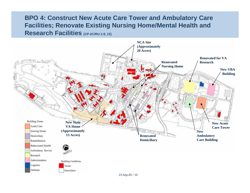#### **BPO 4: Construct New Acute Care Tower and Ambulatory Care Facilities; Renovate Existing Nursing Home/Mental Health and Research Facilities [CP-2C/RU-1-8, 13]**

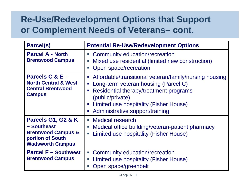# **Re-Use/Redevelopment Options that Support or Complement Needs of Veterans– cont.**

| <b>Parcel(s)</b>                                                                                                  | <b>Potential Re-Use/Redevelopment Options</b>                                                                                                                                                                                                                                              |  |
|-------------------------------------------------------------------------------------------------------------------|--------------------------------------------------------------------------------------------------------------------------------------------------------------------------------------------------------------------------------------------------------------------------------------------|--|
| <b>Parcel A - North</b><br><b>Brentwood Campus</b>                                                                | Community education/recreation<br>$\overline{\phantom{a}}$<br>Mixed use residential (limited new construction)<br>×,<br>Open space/recreation<br>×.                                                                                                                                        |  |
| Parcels $C & E -$<br><b>North Central &amp; West</b><br><b>Central Brentwood</b><br><b>Campus</b>                 | Affordable/transitional veteran/family/nursing housing<br>Long-term veteran housing (Parcel C)<br>$\mathcal{L}_{\mathcal{A}}$<br>Residential therapy/treatment programs<br>I.<br>(public/private)<br>Limited use hospitality (Fisher House)<br>I.<br>Administrative support/training<br>I. |  |
| Parcels G1, G2 & K<br>- Southeast<br><b>Brentwood Campus &amp;</b><br>portion of South<br><b>Wadsworth Campus</b> | <b>Medical research</b><br>×.<br>Medical office building/veteran-patient pharmacy<br>Limited use hospitality (Fisher House)<br>L.                                                                                                                                                          |  |
| <b>Parcel F - Southwest</b><br><b>Brentwood Campus</b>                                                            | Community education/recreation<br>$\overline{\phantom{a}}$<br>Limited use hospitality (Fisher House)<br>$\mathcal{L}_{\mathcal{A}}$<br>Open space/greenbelt<br>Ŀ,                                                                                                                          |  |